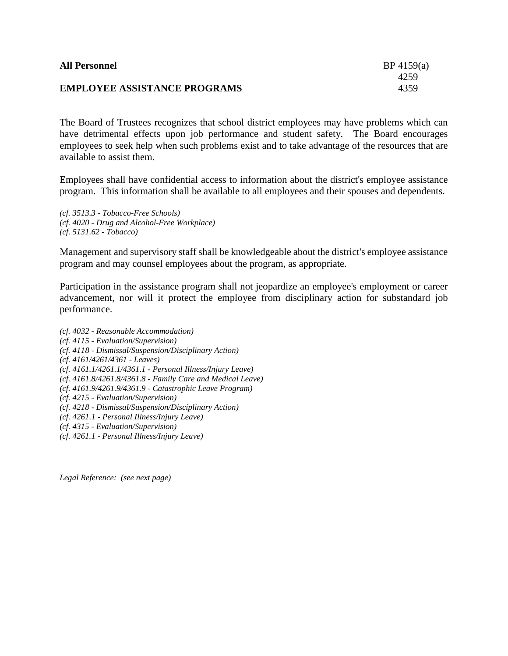| <b>All Personnel</b>                | BP 4159(a) |
|-------------------------------------|------------|
|                                     | 4259       |
| <b>EMPLOYEE ASSISTANCE PROGRAMS</b> | 4359       |

The Board of Trustees recognizes that school district employees may have problems which can have detrimental effects upon job performance and student safety. The Board encourages employees to seek help when such problems exist and to take advantage of the resources that are available to assist them.

Employees shall have confidential access to information about the district's employee assistance program. This information shall be available to all employees and their spouses and dependents.

*(cf. 3513.3 - Tobacco-Free Schools) (cf. 4020 - Drug and Alcohol-Free Workplace) (cf. 5131.62 - Tobacco)*

Management and supervisory staff shall be knowledgeable about the district's employee assistance program and may counsel employees about the program, as appropriate.

Participation in the assistance program shall not jeopardize an employee's employment or career advancement, nor will it protect the employee from disciplinary action for substandard job performance.

*(cf. 4032 - Reasonable Accommodation) (cf. 4115 - Evaluation/Supervision) (cf. 4118 - Dismissal/Suspension/Disciplinary Action) (cf. 4161/4261/4361 - Leaves) (cf. 4161.1/4261.1/4361.1 - Personal Illness/Injury Leave) (cf. 4161.8/4261.8/4361.8 - Family Care and Medical Leave) (cf. 4161.9/4261.9/4361.9 - Catastrophic Leave Program) (cf. 4215 - Evaluation/Supervision) (cf. 4218 - Dismissal/Suspension/Disciplinary Action) (cf. 4261.1 - Personal Illness/Injury Leave) (cf. 4315 - Evaluation/Supervision) (cf. 4261.1 - Personal Illness/Injury Leave)*

*Legal Reference: (see next page)*